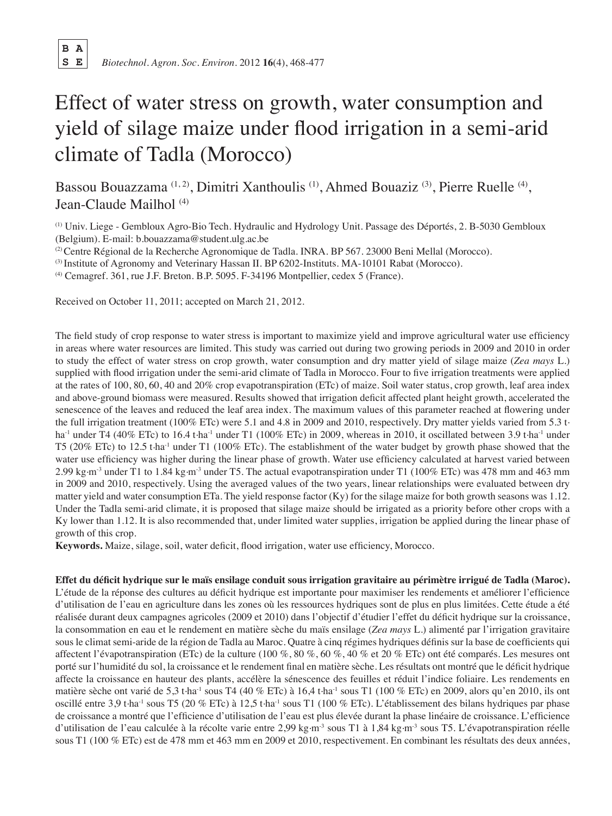**B A**

# Effect of water stress on growth, water consumption and yield of silage maize under flood irrigation in a semi-arid climate of Tadla (Morocco)

Bassou Bouazzama<sup>(1, 2)</sup>, Dimitri Xanthoulis<sup>(1)</sup>, Ahmed Bouaziz<sup>(3)</sup>, Pierre Ruelle<sup>(4)</sup>, Jean-Claude Mailhol<sup>(4)</sup>

(1) Univ. Liege - Gembloux Agro-Bio Tech. Hydraulic and Hydrology Unit. Passage des Déportés, 2. B-5030 Gembloux (Belgium). E-mail: b.bouazzama@student.ulg.ac.be

<sup>(2)</sup> Centre Régional de la Recherche Agronomique de Tadla. INRA. BP 567. 23000 Beni Mellal (Morocco).

(3) Institute of Agronomy and Veterinary Hassan II. BP 6202-Instituts. MA-10101 Rabat (Morocco).

(4) Cemagref. 361, rue J.F. Breton. B.P. 5095. F-34196 Montpellier, cedex 5 (France).

Received on October 11, 2011; accepted on March 21, 2012.

The field study of crop response to water stress is important to maximize yield and improve agricultural water use efficiency in areas where water resources are limited. This study was carried out during two growing periods in 2009 and 2010 in order to study the effect of water stress on crop growth, water consumption and dry matter yield of silage maize (*Zea mays* L.) supplied with flood irrigation under the semi-arid climate of Tadla in Morocco. Four to five irrigation treatments were applied at the rates of 100, 80, 60, 40 and 20% crop evapotranspiration (ETc) of maize. Soil water status, crop growth, leaf area index and above-ground biomass were measured. Results showed that irrigation deficit affected plant height growth, accelerated the senescence of the leaves and reduced the leaf area index. The maximum values of this parameter reached at flowering under the full irrigation treatment (100% ETc) were 5.1 and 4.8 in 2009 and 2010, respectively. Dry matter yields varied from 5.3 t. ha<sup>-1</sup> under T4 (40% ETc) to 16.4 t.ha<sup>-1</sup> under T1 (100% ETc) in 2009, whereas in 2010, it oscillated between 3.9 t.ha<sup>-1</sup> under T5 (20% ETc) to 12.5 t.ha-1 under T1 (100% ETc). The establishment of the water budget by growth phase showed that the water use efficiency was higher during the linear phase of growth. Water use efficiency calculated at harvest varied between 2.99 kg.m-3 under T1 to 1.84 kg.m-3 under T5. The actual evapotranspiration under T1 (100% ETc) was 478 mm and 463 mm in 2009 and 2010, respectively. Using the averaged values of the two years, linear relationships were evaluated between dry matter yield and water consumption ETa. The yield response factor (Ky) for the silage maize for both growth seasons was 1.12. Under the Tadla semi-arid climate, it is proposed that silage maize should be irrigated as a priority before other crops with a Ky lower than 1.12. It is also recommended that, under limited water supplies, irrigation be applied during the linear phase of growth of this crop.

**Keywords.** Maize, silage, soil, water deficit, flood irrigation, water use efficiency, Morocco.

**Effet du déficit hydrique sur le maïs ensilage conduit sous irrigation gravitaire au périmètre irrigué de Tadla (Maroc).** L'étude de la réponse des cultures au déficit hydrique est importante pour maximiser les rendements et améliorer l'efficience d'utilisation de l'eau en agriculture dans les zones où les ressources hydriques sont de plus en plus limitées. Cette étude a été réalisée durant deux campagnes agricoles (2009 et 2010) dans l'objectif d'étudier l'effet du déficit hydrique sur la croissance, la consommation en eau et le rendement en matière sèche du maïs ensilage (*Zea mays* L.) alimenté par l'irrigation gravitaire sous le climat semi-aride de la région de Tadla au Maroc. Quatre à cinq régimes hydriques définis sur la base de coefficients qui affectent l'évapotranspiration (ETc) de la culture (100 %, 80 %, 60 %, 40 % et 20 % ETc) ont été comparés. Les mesures ont porté sur l'humidité du sol, la croissance et le rendement final en matière sèche. Les résultats ont montré que le déficit hydrique affecte la croissance en hauteur des plants, accélère la sénescence des feuilles et réduit l'indice foliaire. Les rendements en matière sèche ont varié de 5,3 t.ha<sup>-1</sup> sous T4 (40 % ETc) à 16,4 t.ha<sup>-1</sup> sous T1 (100 % ETc) en 2009, alors qu'en 2010, ils ont oscillé entre 3,9 t.ha<sup>-1</sup> sous T5 (20 % ETc) à 12,5 t.ha<sup>-1</sup> sous T1 (100 % ETc). L'établissement des bilans hydriques par phase de croissance a montré que l'efficience d'utilisation de l'eau est plus élevée durant la phase linéaire de croissance. L'efficience d'utilisation de l'eau calculée à la récolte varie entre 2,99 kg·m<sup>-3</sup> sous T1 à 1,84 kg·m<sup>-3</sup> sous T5. L'évapotranspiration réelle sous T1 (100 % ETc) est de 478 mm et 463 mm en 2009 et 2010, respectivement. En combinant les résultats des deux années,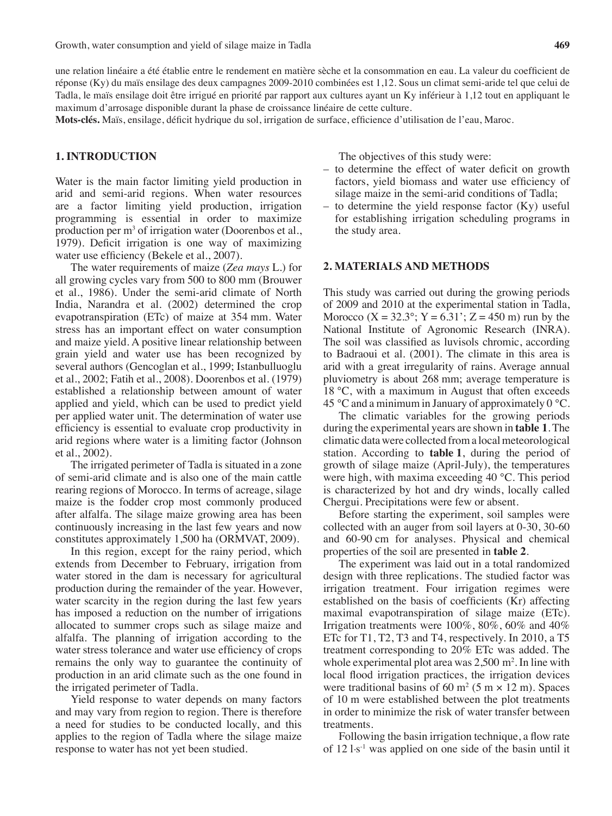une relation linéaire a été établie entre le rendement en matière sèche et la consommation en eau. La valeur du coefficient de réponse (Ky) du maïs ensilage des deux campagnes 2009-2010 combinées est 1,12. Sous un climat semi-aride tel que celui de Tadla, le maïs ensilage doit être irrigué en priorité par rapport aux cultures ayant un Ky inférieur à 1,12 tout en appliquant le maximum d'arrosage disponible durant la phase de croissance linéaire de cette culture.

**Mots-clés.** Maïs, ensilage, déficit hydrique du sol, irrigation de surface, efficience d'utilisation de l'eau, Maroc.

# **1. INTRODUCTION**

Water is the main factor limiting yield production in arid and semi-arid regions. When water resources are a factor limiting yield production, irrigation programming is essential in order to maximize production per  $m<sup>3</sup>$  of irrigation water (Doorenbos et al., 1979). Deficit irrigation is one way of maximizing water use efficiency (Bekele et al., 2007).

The water requirements of maize (*Zea mays* L.) for all growing cycles vary from 500 to 800 mm (Brouwer et al., 1986). Under the semi-arid climate of North India, Narandra et al. (2002) determined the crop evapotranspiration (ETc) of maize at 354 mm. Water stress has an important effect on water consumption and maize yield. A positive linear relationship between grain yield and water use has been recognized by several authors (Gencoglan et al., 1999; Istanbulluoglu et al., 2002; Fatih et al., 2008). Doorenbos et al. (1979) established a relationship between amount of water applied and yield, which can be used to predict yield per applied water unit. The determination of water use efficiency is essential to evaluate crop productivity in arid regions where water is a limiting factor (Johnson et al., 2002).

The irrigated perimeter of Tadla is situated in a zone of semi-arid climate and is also one of the main cattle rearing regions of Morocco. In terms of acreage, silage maize is the fodder crop most commonly produced after alfalfa. The silage maize growing area has been continuously increasing in the last few years and now constitutes approximately 1,500 ha (ORMVAT, 2009).

In this region, except for the rainy period, which extends from December to February, irrigation from water stored in the dam is necessary for agricultural production during the remainder of the year. However, water scarcity in the region during the last few years has imposed a reduction on the number of irrigations allocated to summer crops such as silage maize and alfalfa. The planning of irrigation according to the water stress tolerance and water use efficiency of crops remains the only way to guarantee the continuity of production in an arid climate such as the one found in the irrigated perimeter of Tadla.

Yield response to water depends on many factors and may vary from region to region. There is therefore a need for studies to be conducted locally, and this applies to the region of Tadla where the silage maize response to water has not yet been studied.

The objectives of this study were:

- – to determine the effect of water deficit on growth factors, yield biomass and water use efficiency of silage maize in the semi-arid conditions of Tadla;
- to determine the yield response factor  $(Ky)$  useful for establishing irrigation scheduling programs in the study area.

#### **2. MATERIALS AND METHODS**

This study was carried out during the growing periods of 2009 and 2010 at the experimental station in Tadla, Morocco  $(X = 32.3^{\circ}; Y = 6.31^{\circ}; Z = 450 \text{ m})$  run by the National Institute of Agronomic Research (INRA). The soil was classified as luvisols chromic, according to Badraoui et al. (2001). The climate in this area is arid with a great irregularity of rains. Average annual pluviometry is about 268 mm; average temperature is 18 °C, with a maximum in August that often exceeds 45 °C and a minimum in January of approximately  $0^{\circ}$ C.

The climatic variables for the growing periods during the experimental years are shown in **table 1**. The climatic data were collected froma localmeteorological station. According to **table 1**, during the period of growth of silage maize (April-July), the temperatures were high, with maxima exceeding 40 °C. This period is characterized by hot and dry winds, locally called Chergui. Precipitations were few or absent.

Before starting the experiment, soil samples were collected with an auger from soil layers at 0-30, 30-60 and 60-90 cm for analyses. Physical and chemical properties of the soil are presented in **table 2**.

The experiment was laid out in a total randomized design with three replications. The studied factor was irrigation treatment. Four irrigation regimes were established on the basis of coefficients (Kr) affecting maximal evapotranspiration of silage maize (ETc). Irrigation treatments were 100%, 80%, 60% and 40% ETc for T1, T2, T3 and T4, respectively. In 2010, a T5 treatment corresponding to 20% ETc was added. The whole experimental plot area was 2,500 m<sup>2</sup>. In line with local flood irrigation practices, the irrigation devices were traditional basins of 60 m<sup>2</sup> (5 m  $\times$  12 m). Spaces of 10 m were established between the plot treatments in order to minimize the risk of water transfer between treatments.

Following the basin irrigation technique, a flow rate of 12 l.s-1 was applied on one side of the basin until it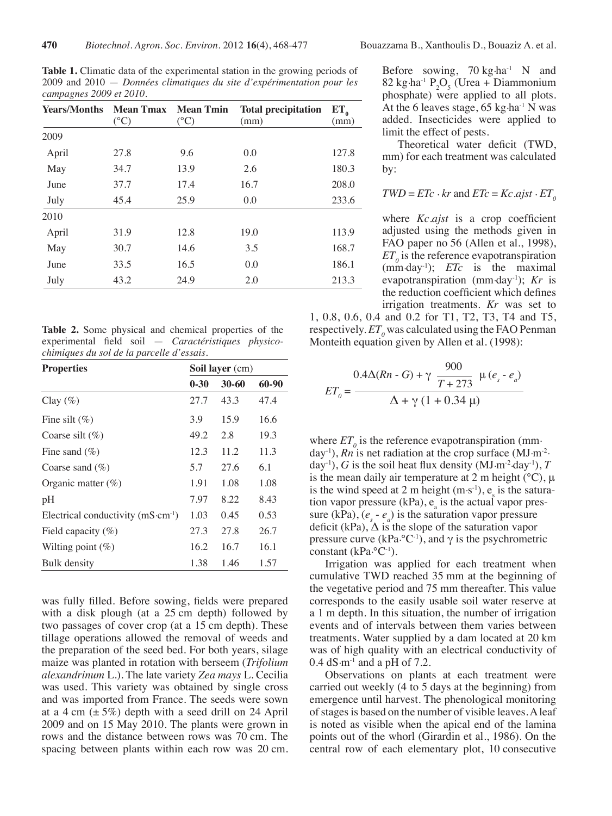**Table 1.** Climatic data of the experimental station in the growing periods of 2009 and 2010 — *Données climatiques du site d'expérimentation pour les campagnes 2009 et 2010.*

| <b>Years/Months</b> | <b>Mean Tmax</b> Mean Tmin<br>$(^{\circ}C)$ | $(^{\circ}C)$ | <b>Total precipitation</b><br>(mm) | ET <sub>a</sub><br>(mm) |
|---------------------|---------------------------------------------|---------------|------------------------------------|-------------------------|
| 2009                |                                             |               |                                    |                         |
| April               | 27.8                                        | 9.6           | 0.0                                | 127.8                   |
| May                 | 34.7                                        | 13.9          | 2.6                                | 180.3                   |
| June                | 37.7                                        | 17.4          | 16.7                               | 208.0                   |
| July                | 45.4                                        | 25.9          | 0.0                                | 233.6                   |
| 2010                |                                             |               |                                    |                         |
| April               | 31.9                                        | 12.8          | 19.0                               | 113.9                   |
| May                 | 30.7                                        | 14.6          | 3.5                                | 168.7                   |
| June                | 33.5                                        | 16.5          | 0.0                                | 186.1                   |
| July                | 43.2                                        | 24.9          | 2.0                                | 213.3                   |

**Table 2.** Some physical and chemical properties of the experimental field soil — *Caractéristiques physicochimiques du sol de la parcelle d'essais.*

| <b>Properties</b>                 | <b>Soil layer</b> (cm) |       |       |  |
|-----------------------------------|------------------------|-------|-------|--|
|                                   | $0 - 30$               | 30-60 | 60-90 |  |
| Clay $(\%)$                       | 27.7                   | 43.3  | 47.4  |  |
| Fine silt $(\%)$                  | 3.9                    | 15.9  | 16.6  |  |
| Coarse silt $(\%)$                | 49.2                   | 2.8   | 19.3  |  |
| Fine sand $(\% )$                 | 12.3                   | 11.2  | 11.3  |  |
| Coarse sand $(\%)$                | 5.7                    | 27.6  | 6.1   |  |
| Organic matter $(\%)$             | 1.91                   | 1.08  | 1.08  |  |
| pH                                | 7.97                   | 8.22  | 8.43  |  |
| Electrical conductivity (mS·cm-1) | 1.03                   | 0.45  | 0.53  |  |
| Field capacity $(\%)$             | 27.3                   | 27.8  | 26.7  |  |
| Wilting point $(\%)$              | 16.2                   | 16.7  | 16.1  |  |
| Bulk density                      | 1.38                   | 1.46  | 1.57  |  |

was fully filled. Before sowing, fields were prepared with a disk plough (at a 25 cm depth) followed by two passages of cover crop (at a 15 cm depth). These tillage operations allowed the removal of weeds and the preparation of the seed bed. For both years, silage maize was planted in rotation with berseem (*Trifolium alexandrinum* L.). The late variety *Zea mays* L. Cecilia was used. This variety was obtained by single cross and was imported from France. The seeds were sown at a 4 cm  $(\pm 5\%)$  depth with a seed drill on 24 April 2009 and on 15 May 2010. The plants were grown in rows and the distance between rows was 70 cm. The spacing between plants within each row was 20 cm.

Before sowing,  $70 \text{ kg} \cdot \text{ha}^{-1}$  N and  $82 \text{ kg} \cdot \text{ha}^{-1} \cdot P_2O_5$  (Urea + Diammonium phosphate) were applied to all plots. At the 6 leaves stage,  $65 \text{ kg} \cdot \text{ha}^{-1} \text{ N}$  was added. Insecticides were applied to limit the effect of pests.

Theoretical water deficit (TWD, mm) for each treatment was calculated by:

$$
TWD = E Tc \cdot kr \text{ and } E Tc = Kc. a jst \cdot ET_{o}
$$

where *Kc.ajst* is a crop coefficient adjusted using the methods given in FAO paper no 56 (Allen et al., 1998),  $ET<sub>o</sub>$  is the reference evapotranspiration (mm.day-1); *ETc* is the maximal evapotranspiration (mm.day-1); *Kr* is the reduction coefficient which defines irrigation treatments. *Kr* was set to

1, 0.8, 0.6, 0.4 and 0.2 for T1, T2, T3, T4 and T5, respectively.  $ET_{o}$  was calculated using the FAO Penman Monteith equation given by Allen et al. (1998):

$$
ET_{o} = \frac{0.4\Delta(Rn - G) + \gamma \frac{900}{T + 273} \mu (e_{s} - e_{a})}{\Delta + \gamma (1 + 0.34 \mu)}
$$

where  $ET_{0}$  is the reference evapotranspiration (mmday<sup>-1</sup>), *Rn* is net radiation at the crop surface (MJ·m<sup>-2</sup>. day<sup>-1</sup>), *G* is the soil heat flux density (MJ·m<sup>-2</sup>·day<sup>-1</sup>), *T* is the mean daily air temperature at 2 m height  $({}^{\circ}C)$ ,  $\mu$ is the wind speed at 2 m height  $(m \cdot s^{-1})$ , es is the saturation vapor pressure  $(kPa)$ , e<sub>s</sub> is the actual vapor pressure (kPa),  $(e_s - e_a)$  is the saturation vapor pressure deficit (kPa),  $\Delta$  is the slope of the saturation vapor pressure curve (kPa.<sup>o</sup>C<sup>-1</sup>), and  $\gamma$  is the psychrometric constant  $(kPa·°C<sup>-1</sup>)$ .

Irrigation was applied for each treatment when cumulative TWD reached 35 mm at the beginning of the vegetative period and 75 mm thereafter. This value corresponds to the easily usable soil water reserve at a 1 m depth. In this situation, the number of irrigation events and of intervals between them varies between treatments. Water supplied by a dam located at 20 km was of high quality with an electrical conductivity of  $0.4$  dS $\cdot$ m<sup>-1</sup> and a pH of 7.2.

Observations on plants at each treatment were carried out weekly (4 to 5 days at the beginning) from emergence until harvest. The phenological monitoring of stages is based on the number of visible leaves. A leaf is noted as visible when the apical end of the lamina points out of the whorl (Girardin et al., 1986). On the central row of each elementary plot, 10 consecutive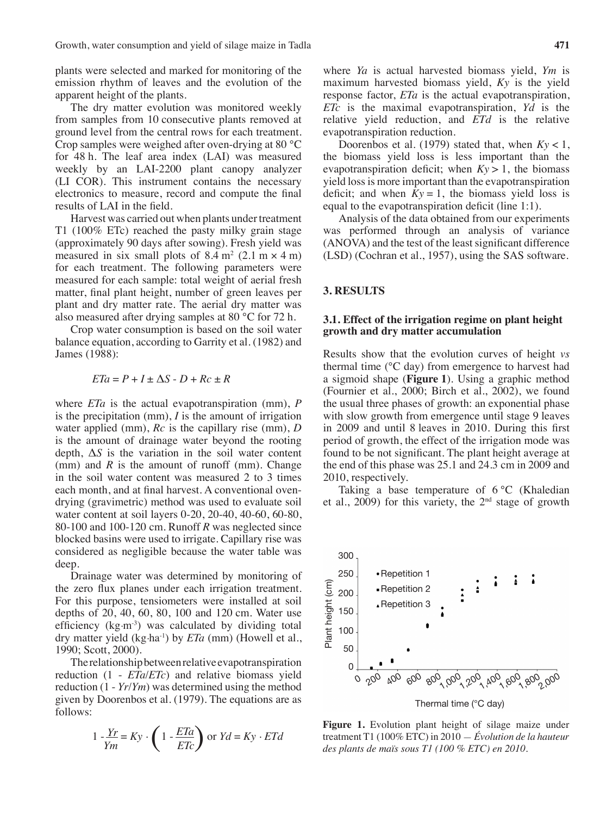plants were selected and marked for monitoring of the emission rhythm of leaves and the evolution of the apparent height of the plants.

The dry matter evolution was monitored weekly from samples from 10 consecutive plants removed at ground level from the central rows for each treatment. Crop samples were weighed after oven-drying at 80 °C for 48 h. The leaf area index (LAI) was measured weekly by an LAI-2200 plant canopy analyzer (LI COR). This instrument contains the necessary electronics to measure, record and compute the final results of LAI in the field.

Harvest was carried out when plants under treatment T1 (100% ETc) reached the pasty milky grain stage (approximately 90 days after sowing). Fresh yield was measured in six small plots of  $8.4 \text{ m}^2$  (2.1 m  $\times$  4 m) for each treatment. The following parameters were measured for each sample: total weight of aerial fresh matter, final plant height, number of green leaves per plant and dry matter rate. The aerial dry matter was also measured after drying samples at 80 °C for 72 h.

Crop water consumption is based on the soil water balance equation, according to Garrity et al. (1982) and James (1988):

$$
ETa = P + I \pm \Delta S - D + Rc \pm R
$$

where *ETa* is the actual evapotranspiration (mm), *P* is the precipitation (mm), *I* is the amount of irrigation water applied (mm), *Rc* is the capillary rise (mm), *D* is the amount of drainage water beyond the rooting depth, Δ*S* is the variation in the soil water content (mm) and  $R$  is the amount of runoff (mm). Change in the soil water content was measured 2 to 3 times each month, and at final harvest. A conventional ovendrying (gravimetric) method was used to evaluate soil water content at soil layers 0-20, 20-40, 40-60, 60-80, 80-100 and 100-120 cm. Runoff *R* was neglected since blocked basins were used to irrigate. Capillary rise was considered as negligible because the water table was deep.

Drainage water was determined by monitoring of the zero flux planes under each irrigation treatment. For this purpose, tensiometers were installed at soil depths of 20, 40, 60, 80, 100 and 120 cm. Water use efficiency  $(kg·m<sup>-3</sup>)$  was calculated by dividing total dry matter yield (kg.ha-1) by *ETa* (mm) (Howell et al., 1990; Scott, 2000).

Therelationshipbetweenrelativeevapotranspiration reduction (1 - *ETa*/*ETc*) and relative biomass yield reduction (1 - *Yr*/*Ym*) was determined using the method given by Doorenbos et al. (1979). The equations are as follows:

$$
1 - \frac{Yr}{Ym} = Ky \cdot \left(1 - \frac{ETA}{ETc}\right) \text{ or } Yd = Ky \cdot ETA
$$

where *Ya* is actual harvested biomass yield, *Ym* is maximum harvested biomass yield, *Ky* is the yield response factor, *ETa* is the actual evapotranspiration, *ETc* is the maximal evapotranspiration, *Yd* is the relative yield reduction, and *ETd* is the relative evapotranspiration reduction.

Doorenbos et al. (1979) stated that, when *Ky* < 1, the biomass yield loss is less important than the evapotranspiration deficit; when  $Ky > 1$ , the biomass yield lossis more important than the evapotranspiration deficit; and when  $Ky = 1$ , the biomass yield loss is equal to the evapotranspiration deficit (line 1:1).

Analysis of the data obtained from our experiments was performed through an analysis of variance (ANOVA) and the test of the least significant difference (LSD) (Cochran et al., 1957), using the SAS software.

## **3. RESULTS**

## **3.1. Effect of the irrigation regime on plant height growth and dry matter accumulation**

Results show that the evolution curves of height *vs* thermal time (°C day) from emergence to harvest had a sigmoid shape (**Figure 1**). Using a graphic method (Fournier et al., 2000; Birch et al., 2002), we found the usual three phases of growth: an exponential phase with slow growth from emergence until stage 9 leaves in 2009 and until 8 leaves in 2010. During this first period of growth, the effect of the irrigation mode was found to be not significant. The plant height average at the end of this phase was 25.1 and 24.3 cm in 2009 and 2010, respectively.

Taking a base temperature of 6 °C (Khaledian et al., 2009) for this variety, the  $2<sup>nd</sup>$  stage of growth



**Figure 1.** Evolution plant height of silage maize under treatment T1 (100% ETC) in 2010 — *Évolution de la hauteur des plants de maïs sous T1 (100 % ETC) en 2010.*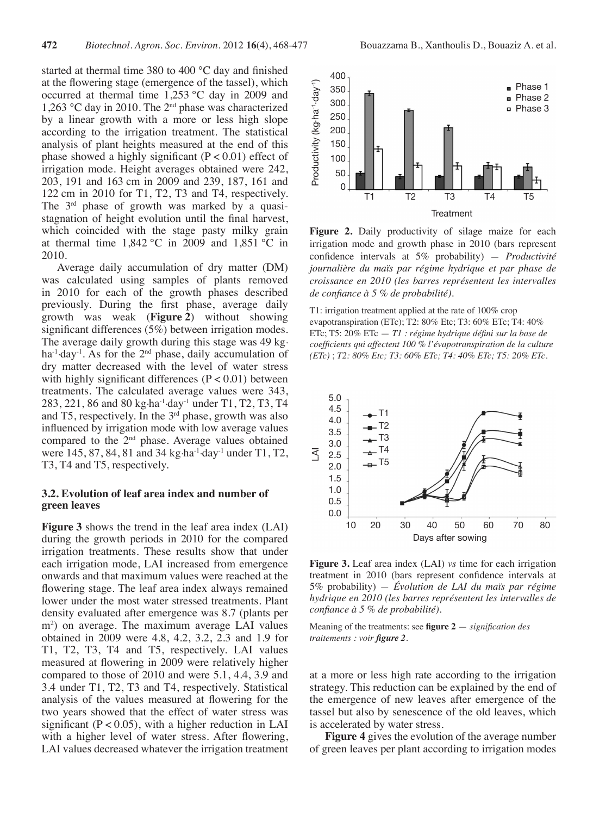started at thermal time 380 to 400 °C day and finished at the flowering stage (emergence of the tassel), which occurred at thermal time 1,253 °C day in 2009 and 1,263 °C day in 2010. The 2nd phase was characterized by a linear growth with a more or less high slope according to the irrigation treatment. The statistical analysis of plant heights measured at the end of this phase showed a highly significant  $(P < 0.01)$  effect of irrigation mode. Height averages obtained were 242, 203, 191 and 163 cm in 2009 and 239, 187, 161 and 122 cm in 2010 for T1, T2, T3 and T4, respectively. The 3<sup>rd</sup> phase of growth was marked by a quasistagnation of height evolution until the final harvest, which coincided with the stage pasty milky grain at thermal time  $1,842$  °C in 2009 and  $1,851$  °C in 2010.

Average daily accumulation of dry matter (DM) was calculated using samples of plants removed in 2010 for each of the growth phases described previously. During the first phase, average daily growth was weak (**Figure 2**) without showing significant differences (5%) between irrigation modes. The average daily growth during this stage was 49 kg. ha<sup>-1</sup> $\cdot$ day<sup>-1</sup>. As for the 2<sup>nd</sup> phase, daily accumulation of dry matter decreased with the level of water stress with highly significant differences  $(P < 0.01)$  between treatments. The calculated average values were 343, 283, 221, 86 and 80 kg.ha-1.day-1 under T1, T2, T3, T4 and T5, respectively. In the  $3<sup>rd</sup>$  phase, growth was also influenced by irrigation mode with low average values compared to the 2nd phase. Average values obtained were 145, 87, 84, 81 and 34 kg·ha<sup>-1</sup>·day<sup>-1</sup> under T1, T2, T3, T4 and T5, respectively.

## **3.2. Evolution of leaf area index and number of green leaves**

**Figure 3** shows the trend in the leaf area index (LAI) during the growth periods in 2010 for the compared irrigation treatments. These results show that under each irrigation mode, LAI increased from emergence onwards and that maximum values were reached at the flowering stage. The leaf area index always remained lower under the most water stressed treatments. Plant density evaluated after emergence was 8.7 (plants per m2 ) on average. The maximum average LAI values obtained in 2009 were 4.8, 4.2, 3.2, 2.3 and 1.9 for T1, T2, T3, T4 and T5, respectively. LAI values measured at flowering in 2009 were relatively higher compared to those of 2010 and were 5.1, 4.4, 3.9 and 3.4 under T1, T2, T3 and T4, respectively. Statistical analysis of the values measured at flowering for the two years showed that the effect of water stress was significant  $(P < 0.05)$ , with a higher reduction in LAI with a higher level of water stress. After flowering, LAI values decreased whatever the irrigation treatment



**Figure 2.** Daily productivity of silage maize for each irrigation mode and growth phase in 2010 (bars represent confidence intervals at 5% probability) — *Productivité journalière du maïs par régime hydrique et par phase de croissance en 2010 (les barres représentent les intervalles de confiance à 5 % de probabilité).*

T1: irrigation treatment applied at the rate of 100% crop evapotranspiration (ETc); T2: 80% Etc; T3: 60% ETc; T4: 40% ETc; T5: 20% ETc — *T1 : régime hydrique défini sur la base de coefficients qui affectent 100 % l'évapotranspiration de la culture (ETc)* ; *T2: 80% Etc; T3: 60% ETc; T4: 40% ETc; T5: 20% ETc*.



**Figure 3.** Leaf area index (LAI) *vs* time for each irrigation treatment in 2010 (bars represent confidence intervals at 5% probability) — *Évolution de LAI du maïs par régime hydrique en 2010 (les barres représentent les intervalles de confiance à 5 % de probabilité).*

Meaning of the treatments: see **figure 2** — *signification des traitements : voir figure 2.*

at a more or less high rate according to the irrigation strategy. This reduction can be explained by the end of the emergence of new leaves after emergence of the tassel but also by senescence of the old leaves, which is accelerated by water stress.

**Figure 4** gives the evolution of the average number of green leaves per plant according to irrigation modes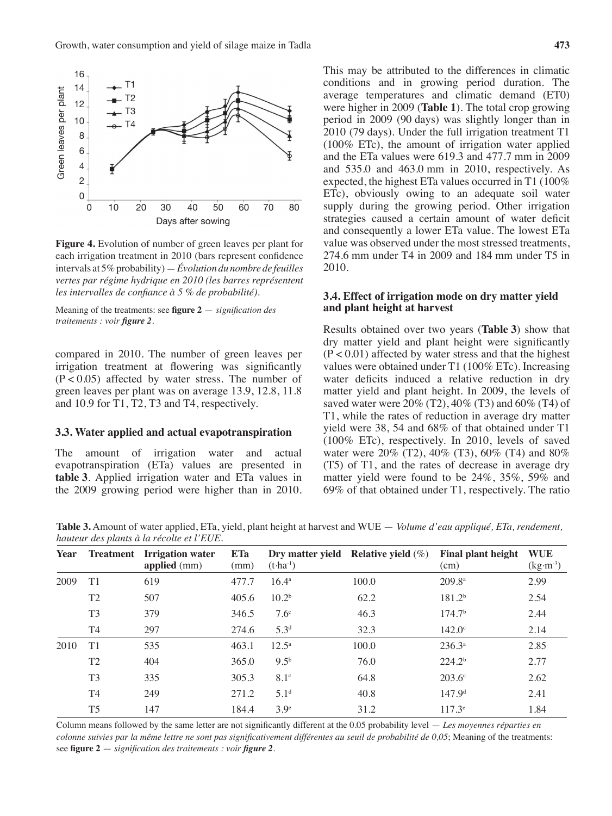

**Figure 4.** Evolution of number of green leaves per plant for each irrigation treatment in 2010 (bars represent confidence intervals at 5% probability) — *Évolution du nombre de feuilles vertes par régime hydrique en 2010 (les barres représentent les intervalles de confiance à 5 % de probabilité).*

Meaning of the treatments: see **figure 2** — *signification des traitements : voir figure 2.*

compared in 2010. The number of green leaves per irrigation treatment at flowering was significantly  $(P < 0.05)$  affected by water stress. The number of green leaves per plant was on average 13.9, 12.8, 11.8 and 10.9 for T1, T2, T3 and T4, respectively.

#### **3.3. Water applied and actual evapotranspiration**

The amount of irrigation water and actual evapotranspiration (ETa) values are presented in **table 3**. Applied irrigation water and ETa values in the 2009 growing period were higher than in 2010. This may be attributed to the differences in climatic conditions and in growing period duration. The average temperatures and climatic demand (ET0) were higher in 2009 (**Table 1**). The total crop growing period in 2009 (90 days) was slightly longer than in 2010 (79 days). Under the full irrigation treatment T1 (100% ETc), the amount of irrigation water applied and the ETa values were 619.3 and 477.7 mm in 2009 and 535.0 and 463.0 mm in 2010, respectively. As expected, the highest ETa values occurred in T1 (100% ETc), obviously owing to an adequate soil water supply during the growing period. Other irrigation strategies caused a certain amount of water deficit and consequently a lower ETa value. The lowest ETa value was observed under the most stressed treatments, 274.6 mm under T4 in 2009 and 184 mm under T5 in 2010.

## **3.4. Effect of irrigation mode on dry matter yield and plant height at harvest**

Results obtained over two years (**Table 3**) show that dry matter yield and plant height were significantly  $(P < 0.01)$  affected by water stress and that the highest values were obtained under T1 (100% ETc). Increasing water deficits induced a relative reduction in dry matter yield and plant height. In 2009, the levels of saved water were  $20\%$  (T2),  $40\%$  (T3) and  $60\%$  (T4) of T1, while the rates of reduction in average dry matter yield were 38, 54 and 68% of that obtained under T1 (100% ETc), respectively. In 2010, levels of saved water were 20% (T2), 40% (T3), 60% (T4) and 80% (T5) of T1, and the rates of decrease in average dry matter yield were found to be 24%, 35%, 59% and 69% of that obtained under T1, respectively. The ratio

**Table 3.** Amount of water applied, ETa, yield, plant height at harvest and WUE — *Volume d'eau appliqué, ETa, rendement, hauteur des plants à la récolte et l'EUE.*

| Year | <b>Treatment</b> | <b>Irrigation</b> water<br>applied $(mm)$ | <b>ETa</b><br>(mm) | $(t-1)$           | Dry matter yield Relative yield $(\%)$ | <b>Final plant height</b><br>(cm) | <b>WUE</b><br>$(kg·m-3)$ |
|------|------------------|-------------------------------------------|--------------------|-------------------|----------------------------------------|-----------------------------------|--------------------------|
| 2009 | T1               | 619                                       | 477.7              | $16.4^{\circ}$    | 100.0                                  | $209.8^{\mathrm{a}}$              | 2.99                     |
|      | T <sub>2</sub>   | 507                                       | 405.6              | 10.2 <sup>b</sup> | 62.2                                   | 181.2 <sup>b</sup>                | 2.54                     |
|      | T <sub>3</sub>   | 379                                       | 346.5              | 7.6 <sup>c</sup>  | 46.3                                   | 174.7 <sup>b</sup>                | 2.44                     |
|      | T <sub>4</sub>   | 297                                       | 274.6              | 5.3 <sup>d</sup>  | 32.3                                   | $142.0^{\circ}$                   | 2.14                     |
| 2010 | T1               | 535                                       | 463.1              | $12.5^{\circ}$    | 100.0                                  | $236.3^{a}$                       | 2.85                     |
|      | T <sub>2</sub>   | 404                                       | 365.0              | $9.5^{b}$         | 76.0                                   | 224.2 <sup>b</sup>                | 2.77                     |
|      | T <sub>3</sub>   | 335                                       | 305.3              | $8.1^\circ$       | 64.8                                   | $203.6^{\circ}$                   | 2.62                     |
|      | T <sub>4</sub>   | 249                                       | 271.2              | 5.1 <sup>d</sup>  | 40.8                                   | 147.9 <sup>d</sup>                | 2.41                     |
|      | T <sub>5</sub>   | 147                                       | 184.4              | 3.9 <sup>e</sup>  | 31.2                                   | $117.3^e$                         | 1.84                     |

Column means followed by the same letter are not significantly different at the 0.05 probability level — *Les moyennes réparties en colonne suivies par la même lettre ne sont pas significativement différentes au seuil de probabilité de 0,05*; Meaning of the treatments: see **figure 2** — *signification des traitements : voir figure 2.*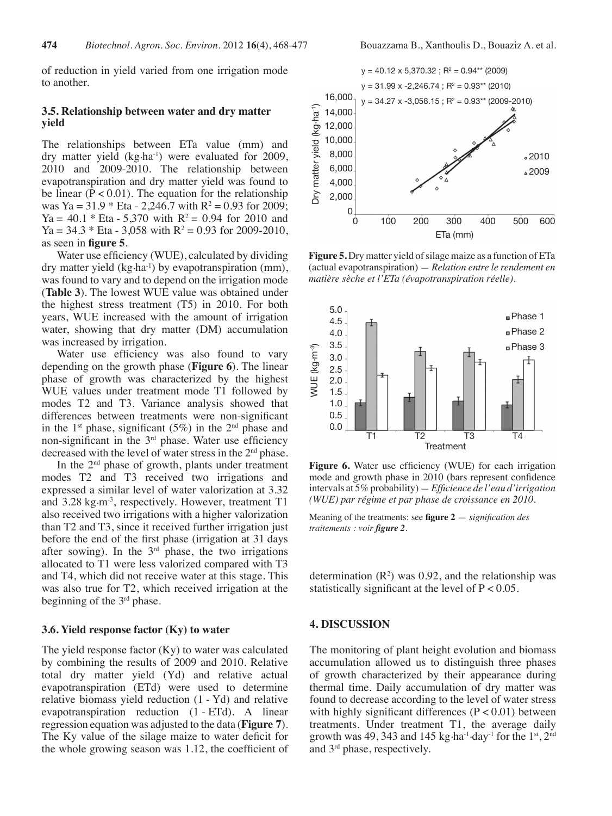of reduction in yield varied from one irrigation mode to another.

## **3.5. Relationship between water and dry matter yield**

The relationships between ETa value (mm) and dry matter yield (kg·ha<sup>-1</sup>) were evaluated for 2009, 2010 and 2009-2010. The relationship between evapotranspiration and dry matter yield was found to be linear  $(P < 0.01)$ . The equation for the relationship was Ya = 31.9  $*$  Eta - 2,246.7 with R<sup>2</sup> = 0.93 for 2009; Ya = 40.1  $*$  Eta - 5,370 with R<sup>2</sup> = 0.94 for 2010 and Ya =  $34.3 *$  Eta -  $3,058$  with R<sup>2</sup> = 0.93 for 2009-2010, as seen in **figure 5**.

Water use efficiency (WUE), calculated by dividing dry matter yield  $(kg \cdot ha^{-1})$  by evapotranspiration (mm), was found to vary and to depend on the irrigation mode (**Table 3**). The lowest WUE value was obtained under the highest stress treatment (T5) in 2010. For both years, WUE increased with the amount of irrigation water, showing that dry matter (DM) accumulation was increased by irrigation.

Water use efficiency was also found to vary depending on the growth phase (**Figure 6**). The linear phase of growth was characterized by the highest WUE values under treatment mode T1 followed by modes T2 and T3. Variance analysis showed that differences between treatments were non-significant in the  $1<sup>st</sup>$  phase, significant (5%) in the  $2<sup>nd</sup>$  phase and non-significant in the 3rd phase. Water use efficiency decreased with the level of water stress in the 2<sup>nd</sup> phase.

In the  $2<sup>nd</sup>$  phase of growth, plants under treatment modes T2 and T3 received two irrigations and expressed a similar level of water valorization at 3.32 and 3.28 kg·m<sup>-3</sup>, respectively. However, treatment T1 also received two irrigations with a higher valorization than T2 and T3, since it received further irrigation just before the end of the first phase (irrigation at 31 days after sowing). In the  $3<sup>rd</sup>$  phase, the two irrigations allocated to T1 were less valorized compared with T3 and T4, which did not receive water at this stage. This was also true for T2, which received irrigation at the beginning of the 3rd phase.

## **3.6. Yield response factor (Ky) to water**

The yield response factor (Ky) to water was calculated by combining the results of 2009 and 2010. Relative total dry matter yield (Yd) and relative actual evapotranspiration (ETd) were used to determine relative biomass yield reduction (1 - Yd) and relative evapotranspiration reduction (1 - ETd). A linear regression equation was adjusted to the data (**Figure 7**). The Ky value of the silage maize to water deficit for the whole growing season was 1.12, the coefficient of



**Figure** 5. Dry matter yield of silage maize as a function of ETa (actual evapotranspiration) — *Relation entre le rendement en matière sèche et l'ETa (évapotranspiration réelle).*



**Figure 6.** Water use efficiency (WUE) for each irrigation mode and growth phase in 2010 (bars represent confidence intervals at 5% probability) — *Efficience de l'eau d'irrigation (WUE) par régime et par phase de croissance en 2010.*

Meaning of the treatments: see **figure 2** — *signification des traitements : voir figure 2.*

determination  $(R^2)$  was 0.92, and the relationship was statistically significant at the level of  $P < 0.05$ .

#### **4. DISCUSSION**

The monitoring of plant height evolution and biomass accumulation allowed us to distinguish three phases of growth characterized by their appearance during thermal time. Daily accumulation of dry matter was found to decrease according to the level of water stress with highly significant differences  $(P < 0.01)$  between treatments. Under treatment T1, the average daily growth was 49, 343 and 145 kg $\cdot$ ha<sup>-1</sup> $\cdot$ day<sup>-1</sup> for the 1<sup>st</sup>, 2<sup>nd</sup> and 3rd phase, respectively.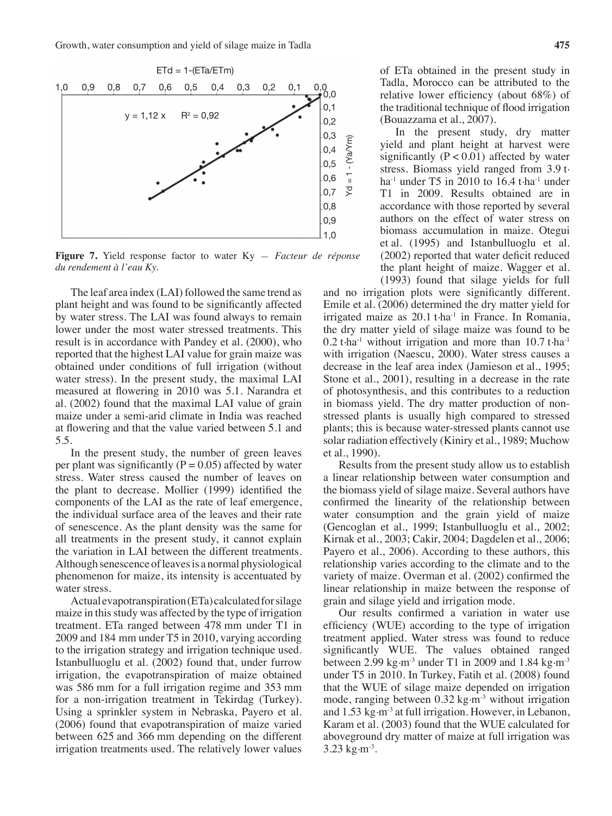

**Figure 7.** Yield response factor to water Ky — *Facteur de réponse du rendement à l'eau Ky.*

The leaf area index (LAI) followed the same trend as plant height and was found to be significantly affected by water stress. The LAI was found always to remain lower under the most water stressed treatments. This result is in accordance with Pandey et al. (2000), who reported that the highest LAI value for grain maize was obtained under conditions of full irrigation (without water stress). In the present study, the maximal LAI measured at flowering in 2010 was 5.1. Narandra et al. (2002) found that the maximal LAI value of grain maize under a semi-arid climate in India was reached at flowering and that the value varied between 5.1 and 5.5.

In the present study, the number of green leaves per plant was significantly ( $P = 0.05$ ) affected by water stress. Water stress caused the number of leaves on the plant to decrease. Mollier (1999) identified the components of the LAI as the rate of leaf emergence, the individual surface area of the leaves and their rate of senescence. As the plant density was the same for all treatments in the present study, it cannot explain the variation in LAI between the different treatments. Although senescence of leaves is a normal physiological phenomenon for maize, its intensity is accentuated by water stress.

Actual evapotranspiration (ETa) calculated for silage maize in this study was affected by the type of irrigation treatment. ETa ranged between 478 mm under T1 in 2009 and 184 mm under T5 in 2010, varying according to the irrigation strategy and irrigation technique used. Istanbulluoglu et al. (2002) found that, under furrow irrigation, the evapotranspiration of maize obtained was 586 mm for a full irrigation regime and 353 mm for a non-irrigation treatment in Tekirdag (Turkey). Using a sprinkler system in Nebraska, Payero et al. (2006) found that evapotranspiration of maize varied between 625 and 366 mm depending on the different irrigation treatments used. The relatively lower values

of ETa obtained in the present study in Tadla, Morocco can be attributed to the relative lower efficiency (about 68%) of the traditional technique of flood irrigation (Bouazzama et al., 2007).

In the present study, dry matter yield and plant height at harvest were significantly  $(P < 0.01)$  affected by water stress. Biomass yield ranged from 3.9 t. ha<sup>-1</sup> under T5 in 2010 to 16.4 t $\cdot$ ha<sup>-1</sup> under T1 in 2009. Results obtained are in accordance with those reported by several authors on the effect of water stress on biomass accumulation in maize. Otegui et al. (1995) and Istanbulluoglu et al. (2002) reported that water deficit reduced the plant height of maize. Wagger et al. (1993) found that silage yields for full

and no irrigation plots were significantly different. Emile et al. (2006) determined the dry matter yield for irrigated maize as  $20.1$  t $\cdot$ ha<sup>-1</sup> in France. In Romania, the dry matter yield of silage maize was found to be  $0.2$  t $\cdot$ ha<sup>-1</sup> without irrigation and more than 10.7 t $\cdot$ ha<sup>-1</sup> with irrigation (Naescu, 2000). Water stress causes a decrease in the leaf area index (Jamieson et al., 1995; Stone et al., 2001), resulting in a decrease in the rate of photosynthesis, and this contributes to a reduction in biomass yield. The dry matter production of nonstressed plants is usually high compared to stressed plants; this is because water-stressed plants cannot use solar radiation effectively (Kiniry et al., 1989; Muchow et al., 1990).

Results from the present study allow us to establish a linear relationship between water consumption and the biomass yield of silage maize. Several authors have confirmed the linearity of the relationship between water consumption and the grain yield of maize (Gencoglan et al., 1999; Istanbulluoglu et al., 2002; Kirnak et al., 2003; Cakir, 2004; Dagdelen et al., 2006; Payero et al., 2006). According to these authors, this relationship varies according to the climate and to the variety of maize. Overman et al. (2002) confirmed the linear relationship in maize between the response of grain and silage yield and irrigation mode.

Our results confirmed a variation in water use efficiency (WUE) according to the type of irrigation treatment applied. Water stress was found to reduce significantly WUE. The values obtained ranged between 2.99 kg $\cdot$ m<sup>-3</sup> under T1 in 2009 and 1.84 kg $\cdot$ m<sup>-3</sup> under T5 in 2010. In Turkey, Fatih et al. (2008) found that the WUE of silage maize depended on irrigation mode, ranging between  $0.32 \text{ kg} \cdot \text{m}^{-3}$  without irrigation and 1.53 kg·m<sup>-3</sup> at full irrigation. However, in Lebanon, Karam et al. (2003) found that the WUE calculated for aboveground dry matter of maize at full irrigation was  $3.23 \text{ kg} \cdot \text{m}^{-3}$ .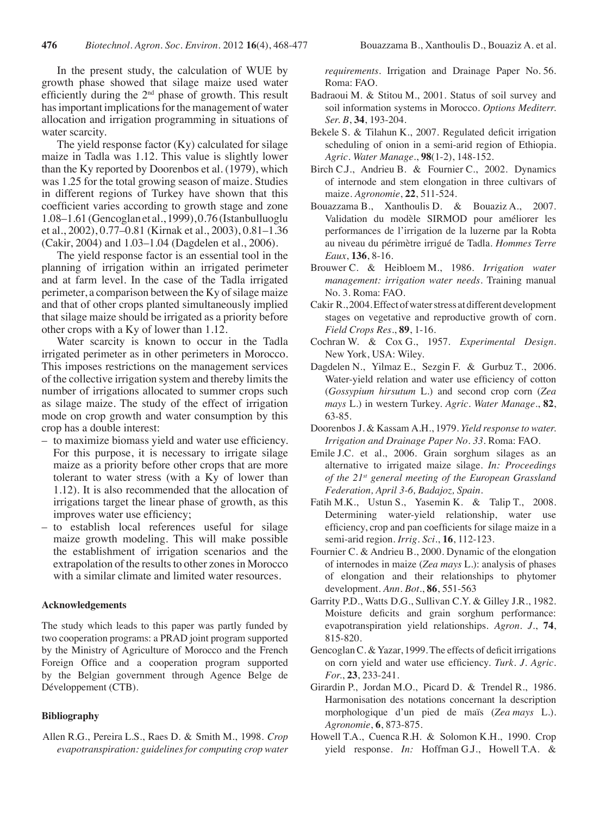In the present study, the calculation of WUE by growth phase showed that silage maize used water efficiently during the  $2<sup>nd</sup>$  phase of growth. This result has important implications for the management of water allocation and irrigation programming in situations of water scarcity.

The yield response factor (Ky) calculated for silage maize in Tadla was 1.12. This value is slightly lower than the Ky reported by Doorenbos et al. (1979), which was 1.25 for the total growing season of maize. Studies in different regions of Turkey have shown that this coefficient varies according to growth stage and zone 1.08–1.61 (Gencoglan et al., 1999), 0.76 (Istanbulluoglu et al., 2002), 0.77–0.81 (Kirnak et al., 2003), 0.81–1.36 (Cakir, 2004) and 1.03–1.04 (Dagdelen et al., 2006).

The yield response factor is an essential tool in the planning of irrigation within an irrigated perimeter and at farm level. In the case of the Tadla irrigated perimeter, a comparison between the Ky of silage maize and that of other crops planted simultaneously implied that silage maize should be irrigated as a priority before other crops with a Ky of lower than 1.12.

Water scarcity is known to occur in the Tadla irrigated perimeter as in other perimeters in Morocco. This imposes restrictions on the management services of the collective irrigation system and thereby limits the number of irrigations allocated to summer crops such as silage maize. The study of the effect of irrigation mode on crop growth and water consumption by this crop has a double interest:

- to maximize biomass yield and water use efficiency. For this purpose, it is necessary to irrigate silage maize as a priority before other crops that are more tolerant to water stress (with a Ky of lower than 1.12). It is also recommended that the allocation of irrigations target the linear phase of growth, as this improves water use efficiency;
- – to establish local references useful for silage maize growth modeling. This will make possible the establishment of irrigation scenarios and the extrapolation of the results to other zones in Morocco with a similar climate and limited water resources.

#### **Acknowledgements**

The study which leads to this paper was partly funded by two cooperation programs: a PRAD joint program supported by the Ministry of Agriculture of Morocco and the French Foreign Office and a cooperation program supported by the Belgian government through Agence Belge de Développement (CTB).

#### **Bibliography**

Allen R.G., Pereira L.S., Raes D. & Smith M., 1998. *Crop evapotranspiration: guidelines for computing crop water* 

*requirements*. Irrigation and Drainage Paper No. 56. Roma: FAO.

- Badraoui M. & Stitou M., 2001. Status of soil survey and soil information systems in Morocco. *Options Mediterr. Ser. B*, **34**, 193-204.
- Bekele S. & Tilahun K., 2007. Regulated deficit irrigation scheduling of onion in a semi-arid region of Ethiopia. *Agric. Water Manage*., **98**(1-2), 148-152.
- Birch C.J., Andrieu B. & Fournier C., 2002. Dynamics of internode and stem elongation in three cultivars of maize. *Agronomie*, **22**, 511-524.
- Bouazzama B., Xanthoulis D. & Bouaziz A., 2007. Validation du modèle SIRMOD pour améliorer les performances de l'irrigation de la luzerne par la Robta au niveau du périmètre irrigué de Tadla. *Hommes Terre Eaux*, **136**, 8-16.
- Brouwer C. & Heibloem M., 1986. *Irrigation water management: irrigation water needs.* Training manual No. 3. Roma: FAO.
- Cakir R., 2004. Effect of water stress at different development stages on vegetative and reproductive growth of corn. *Field Crops Res*., **89**, 1-16.
- Cochran W. & Cox G., 1957. *Experimental Design*. New York, USA: Wiley.
- Dagdelen N., Yilmaz E., Sezgin F. & Gurbuz T., 2006. Water-yield relation and water use efficiency of cotton (*Gossypium hirsutum* L.) and second crop corn (*Zea mays* L.) in western Turkey. *Agric. Water Manage*., **82**, 63-85.
- Doorenbos J. & Kassam A.H., 1979. *Yield response to water. Irrigation and Drainage Paper No. 33*. Roma: FAO.
- Emile J.C. et al., 2006. Grain sorghum silages as an alternative to irrigated maize silage. *In: Proceedings of the 21st general meeting of the European Grassland Federation, April 3-6, Badajoz, Spain.*
- Fatih M.K., Ustun S., Yasemin K. & Talip T., 2008. Determining water-yield relationship, water use efficiency, crop and pan coefficients for silage maize in a semi-arid region. *Irrig. Sci*., **16**, 112-123.
- Fournier C. & Andrieu B., 2000. Dynamic of the elongation of internodes in maize (*Zea mays* L.): analysis of phases of elongation and their relationships to phytomer development. *Ann. Bot*., **86**, 551-563
- Garrity P.D., Watts D.G., Sullivan C.Y. & Gilley J.R., 1982. Moisture deficits and grain sorghum performance: evapotranspiration yield relationships. *Agron. J.*, **74**, 815-820.
- Gencoglan C. & Yazar, 1999. The effects of deficit irrigations on corn yield and water use efficiency. *Turk. J. Agric. For.*, **23**, 233-241.
- Girardin P., Jordan M.O., Picard D. & Trendel R., 1986. Harmonisation des notations concernant la description morphologique d'un pied de maïs (*Zea mays* L.). *Agronomie*, **6**, 873-875.
- Howell T.A., Cuenca R.H. & Solomon K.H., 1990. Crop yield response. *In:* Hoffman G.J., Howell T.A. &